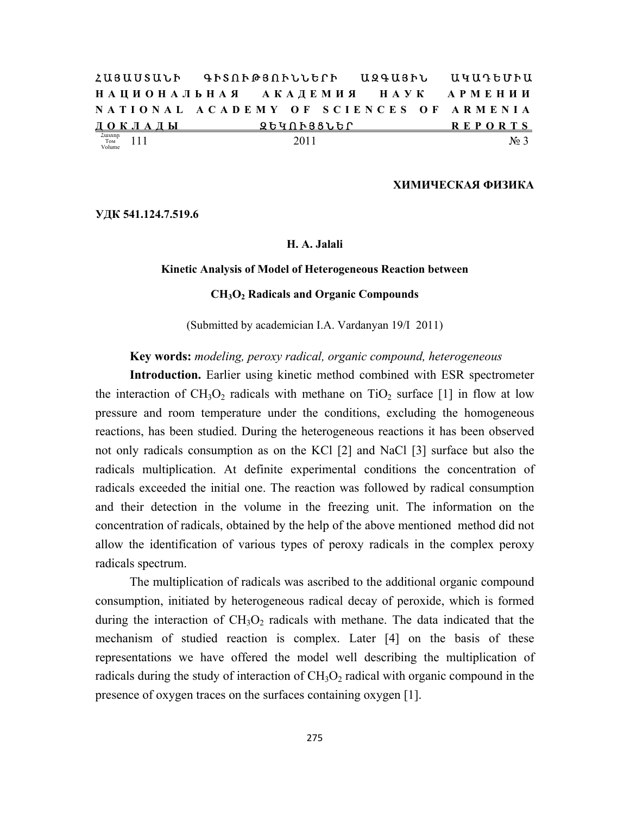|                                              |                     | ՀԱՑԱՍՏԱՆԻ ԳԻՏՈՒԹՅՈՒՆՆԵՐԻ ԱԶԳԱՑԻՆ ԱԿԱԴԵՄԻԱ |  |
|----------------------------------------------|---------------------|-------------------------------------------|--|
|                                              |                     | НАЦИОНАЛЬНАЯ АКАДЕМИЯ НАУК АРМЕНИИ        |  |
|                                              |                     | NATIONAL ACADEMY OF SCIENCES OF ARMENIA   |  |
| ДОКЛАДЫ                                      | ՉԵԿՈՒՅՑՆԵՐ ՀԱՏԱՆՈՒՄ | <b>REPORTS</b>                            |  |
| $\frac{2u\text{unnp}}{T\text{OM}}$<br>Volume | 2011                | No <sub>3</sub>                           |  |

#### **ХИМИЧЕСКАЯ ФИЗИКА**

**УДК 541.124.7.519.6** 

## **H. A. Jalali**

#### **Kinetic Analysis of Model of Heterogeneous Reaction between**

## **CH3O2 Radicals and Organic Compounds**

(Submitted by academician I.A. Vardanyan 19/I 2011)

#### **Key words:** *modeling, peroxy radical, organic compound, heterogeneous*

**Introduction.** Earlier using kinetic method combined with ESR spectrometer the interaction of  $CH_3O_2$  radicals with methane on  $TiO_2$  surface [1] in flow at low pressure and room temperature under the conditions, excluding the homogeneous reactions, has been studied. During the heterogeneous reactions it has been observed not only radicals consumption as on the KCl [2] and NaCl [3] surface but also the radicals multiplication. At definite experimental conditions the concentration of radicals exceeded the initial one. The reaction was followed by radical consumption and their detection in the volume in the freezing unit. The information on the concentration of radicals, obtained by the help of the above mentioned method did not allow the identification of various types of peroxy radicals in the complex peroxy radicals spectrum.

The multiplication of radicals was ascribed to the additional organic compound consumption, initiated by heterogeneous radical decay of peroxide, which is formed during the interaction of  $CH<sub>3</sub>O<sub>2</sub>$  radicals with methane. The data indicated that the mechanism of studied reaction is complex. Later [4] on the basis of these representations we have offered the model well describing the multiplication of radicals during the study of interaction of  $CH<sub>3</sub>O<sub>2</sub>$  radical with organic compound in the presence of oxygen traces on the surfaces containing oxygen [1].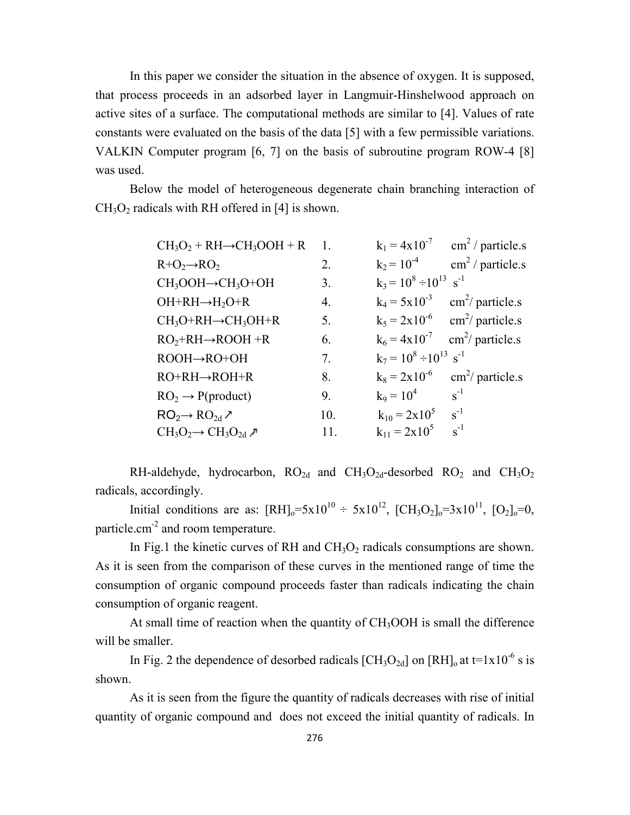In this paper we consider the situation in the absence of oxygen. It is supposed, that process proceeds in an adsorbed layer in Langmuir-Hinshelwood approach on active sites of a surface. The computational methods are similar to [4]. Values of rate constants were evaluated on the basis of the data [5] with a few permissible variations. VALKIN Computer program [6, 7] on the basis of subroutine program ROW-4 [8] was used.

Below the model of heterogeneous degenerate chain branching interaction of  $CH<sub>3</sub>O<sub>2</sub>$  radicals with RH offered in [4] is shown.

| $CH_3O_2 + RH \rightarrow CH_3OOH + R$         | -1.              |                                           | $k_1 = 4x10^{-7}$ cm <sup>2</sup> / particle.s |
|------------------------------------------------|------------------|-------------------------------------------|------------------------------------------------|
| $R+O_2 \rightarrow RO_2$                       | $\overline{2}$ . | $k_2$ = $10^{-4}$                         | $\text{cm}^2$ / particle.s                     |
| $CH_3OOH \rightarrow CH_3O+OH$                 | 3.               | $k_3 = 10^8 \div 10^{13}$ s <sup>-1</sup> |                                                |
| $OH+RH \rightarrow H_2O+R$                     | 4.               | $k_4 = 5x10^{-3}$                         | $\text{cm}^2$ / particle.s                     |
| $CH_3O+RH\rightarrow CH_3OH+R$                 | 5.               |                                           | $k_5 = 2x10^{-6}$ cm <sup>2</sup> / particle.s |
| $RO2+RH \rightarrow ROOH +R$                   | 6.               | $k_6 = 4 \times 10^{-7}$                  | $\text{cm}^2$ / particle.s                     |
| $ROOH \rightarrow RO + OH$                     | 7.               | $k_7 = 10^8 \div 10^{13}$ s <sup>-1</sup> |                                                |
| $RO+RH \rightarrow ROH+R$                      | 8.               |                                           | $k_8 = 2x10^{-6}$ cm <sup>2</sup> / particle.s |
| $RO2 \rightarrow P(product)$                   | 9.               | $k_9 = 10^4$                              | $s^{-1}$                                       |
| $RO2 \rightarrow RO2d$ /                       | 10.              | $k_{10} = 2x10^5$                         | $s^{-1}$                                       |
| $CH_3O_2 \rightarrow CH_3O_{2d}$ $\rightarrow$ | 11.              | $k_{11} = 2x10^5$                         | $s^{-1}$                                       |

RH-aldehyde, hydrocarbon,  $RO_{2d}$  and  $CH_3O_{2d}$ -desorbed  $RO_2$  and  $CH_3O_2$ radicals, accordingly.

Initial conditions are as:  $[RH]_0 = 5x10^{10} \div 5x10^{12}$ ,  $[CH_3O_2]_0 = 3x10^{11}$ ,  $[O_2]_0 = 0$ , particle.cm-2 and room temperature.

In Fig.1 the kinetic curves of RH and  $CH<sub>3</sub>O<sub>2</sub>$  radicals consumptions are shown. As it is seen from the comparison of these curves in the mentioned range of time the consumption of organic compound proceeds faster than radicals indicating the chain consumption of organic reagent.

At small time of reaction when the quantity of  $CH<sub>3</sub>OOH$  is small the difference will be smaller.

In Fig. 2 the dependence of desorbed radicals  $[CH_3O_{2d}]$  on  $[RH]_o$  at t=1x10<sup>-6</sup> s is shown.

As it is seen from the figure the quantity of radicals decreases with rise of initial quantity of organic compound and does not exceed the initial quantity of radicals. In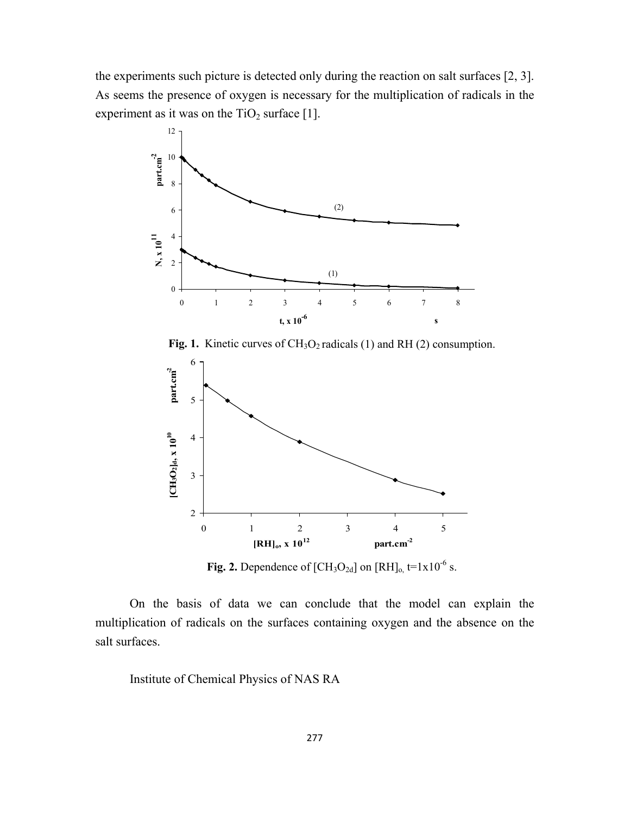the experiments such picture is detected only during the reaction on salt surfaces [2, 3]. As seems the presence of oxygen is necessary for the multiplication of radicals in the experiment as it was on the  $TiO<sub>2</sub>$  surface [1].



Fig. 1. Kinetic curves of CH<sub>3</sub>O<sub>2</sub> radicals (1) and RH (2) consumption.



**Fig. 2.** Dependence of  $[CH_3O_{2d}]$  on  $[RH]_0$ ,  $t=1x10^{-6}$  s.

On the basis of data we can conclude that the model can explain the multiplication of radicals on the surfaces containing oxygen and the absence on the salt surfaces.

Institute of Chemical Physics of NAS RA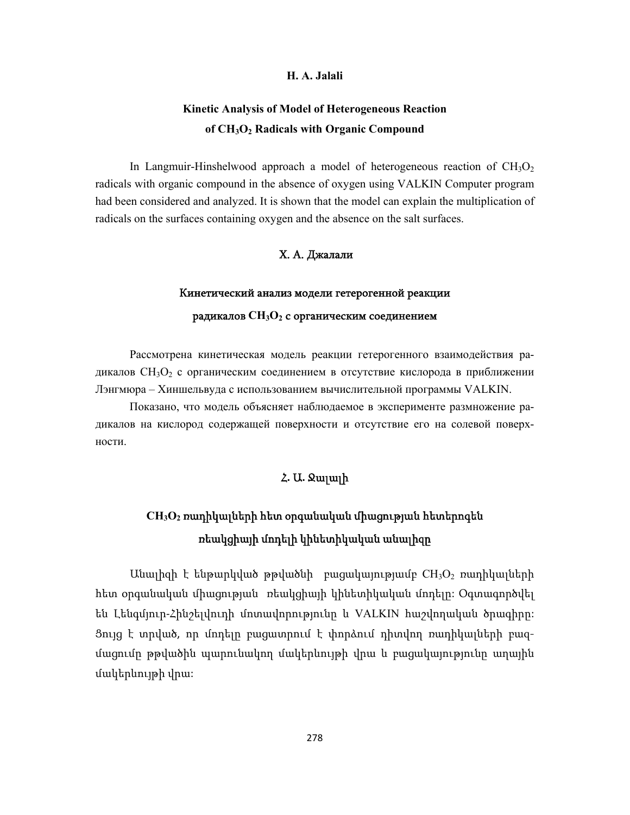## **H. A. Jalali**

## **Kinetic Analysis of Model of Heterogeneous Reaction of CH3O2 Radicals with Organic Compound**

In Langmuir-Hinshelwood approach a model of heterogeneous reaction of  $CH<sub>3</sub>O<sub>2</sub>$ radicals with organic compound in the absence of oxygen using VALKIN Computer program had been considered and analyzed. It is shown that the model can explain the multiplication of radicals on the surfaces containing oxygen and the absence on the salt surfaces.

## Х. А. Джалали

#### Кинетический анализ модели гетерогенной реакции

#### радикалов **CH3O2** с органическим соединением

Рассмотрена кинетическая модель реакции гетерогенного взаимодействия радикалов CH3O2 с органическим соединением в отсутствие кислорода в приближении Лэнгмюра – Хиншельвуда с использованием вычислительной программы VALKIN.

Показано, что модель объясняет наблюдаемое в эксперименте размножение радикалов на кислород содержащей поверхности и отсутствие его на солевой поверхности.

## Հ**.** Ա**.** Ջալալի

# **CH3O2** ռադիկալների հետ օրգանական միացության հետերոգեն ռեակցիայի մոդելի կինետիկական անալիզը

 $U$ նալիզի է ենթարկված թթվածնի բացակայությամբ  $CH<sub>3</sub>O<sub>2</sub>$  ռադիկալների հետ օրգանական միացության ռեակցիայի կինետիկական մոդելը: Օգտագործվել են Լենգմյուր‐Հինշելվուդի մոտավորությունը և VALKIN հաշվողական ծրագիրը: Ցույց է տրված, որ մոդելը բացատրում է փորձում դիտվող ռադիկալների բազմացումը թթվածին պարունակող մակերևույթի վրա և բացակայությունը աղային մակերևույթի վրա: